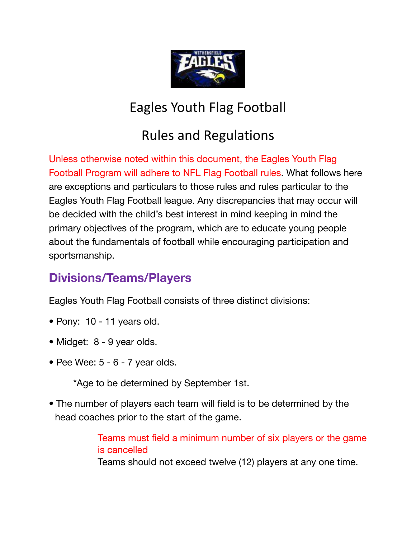

# Eagles Youth Flag Football

# Rules and Regulations

Unless otherwise noted within this document, the Eagles Youth Flag Football Program will adhere to NFL Flag Football rules. What follows here are exceptions and particulars to those rules and rules particular to the Eagles Youth Flag Football league. Any discrepancies that may occur will be decided with the child's best interest in mind keeping in mind the primary objectives of the program, which are to educate young people about the fundamentals of football while encouraging participation and sportsmanship.

# **Divisions/Teams/Players**

Eagles Youth Flag Football consists of three distinct divisions:

- Pony: 10 11 years old.
- Midget: 8 9 year olds.
- Pee Wee:  $5 6 7$  year olds.

\*Age to be determined by September 1st.

• The number of players each team will field is to be determined by the head coaches prior to the start of the game.

> Teams must field a minimum number of six players or the game is cancelled Teams should not exceed twelve (12) players at any one time.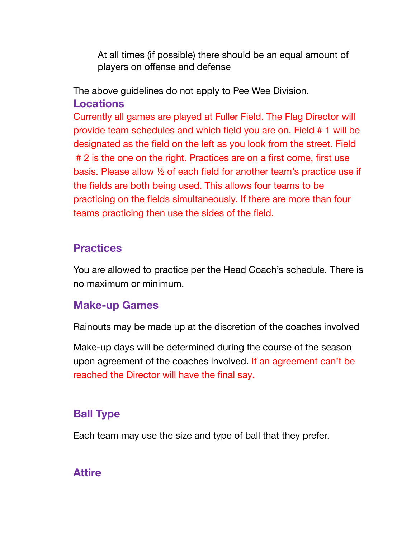At all times (if possible) there should be an equal amount of players on offense and defense

The above guidelines do not apply to Pee Wee Division. **Locations**

Currently all games are played at Fuller Field. The Flag Director will provide team schedules and which field you are on. Field # 1 will be designated as the field on the left as you look from the street. Field # 2 is the one on the right. Practices are on a first come, first use basis. Please allow ½ of each field for another team's practice use if the fields are both being used. This allows four teams to be practicing on the fields simultaneously. If there are more than four teams practicing then use the sides of the field.

#### **Practices**

You are allowed to practice per the Head Coach's schedule. There is no maximum or minimum.

#### **Make-up Games**

Rainouts may be made up at the discretion of the coaches involved

Make-up days will be determined during the course of the season upon agreement of the coaches involved. If an agreement can't be reached the Director will have the final say**.**

## **Ball Type**

Each team may use the size and type of ball that they prefer.

#### **Attire**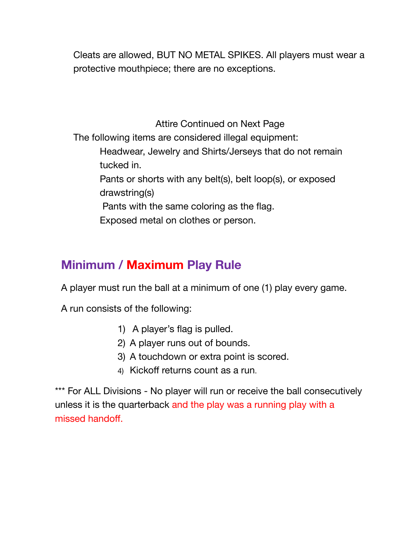Cleats are allowed, BUT NO METAL SPIKES. All players must wear a protective mouthpiece; there are no exceptions.

Attire Continued on Next Page The following items are considered illegal equipment: Headwear, Jewelry and Shirts/Jerseys that do not remain tucked in. Pants or shorts with any belt(s), belt loop(s), or exposed drawstring(s) Pants with the same coloring as the flag. Exposed metal on clothes or person.

# **Minimum / Maximum Play Rule**

A player must run the ball at a minimum of one (1) play every game.

A run consists of the following:

- 1) A player's flag is pulled.
- 2) A player runs out of bounds.
- 3) A touchdown or extra point is scored.
- 4) Kickoff returns count as a run.

\*\*\* For ALL Divisions - No player will run or receive the ball consecutively unless it is the quarterback and the play was a running play with a missed handoff.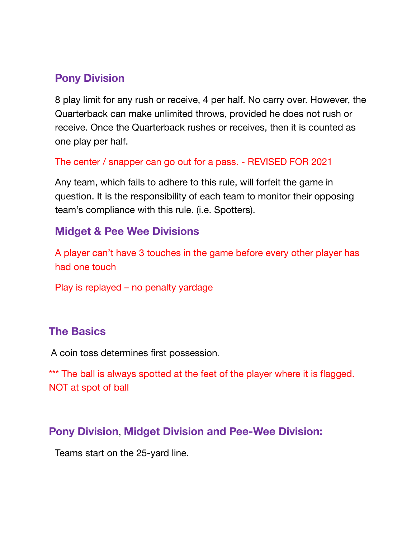#### **Pony Division**

8 play limit for any rush or receive, 4 per half. No carry over. However, the Quarterback can make unlimited throws, provided he does not rush or receive. Once the Quarterback rushes or receives, then it is counted as one play per half.

#### The center / snapper can go out for a pass. - REVISED FOR 2021

Any team, which fails to adhere to this rule, will forfeit the game in question. It is the responsibility of each team to monitor their opposing team's compliance with this rule. (i.e. Spotters).

#### **Midget & Pee Wee Divisions**

A player can't have 3 touches in the game before every other player has had one touch

Play is replayed – no penalty yardage

#### **The Basics**

A coin toss determines first possession.

\*\*\* The ball is always spotted at the feet of the player where it is flagged. NOT at spot of ball

#### **Pony Division**, **Midget Division and Pee-Wee Division:**

Teams start on the 25-yard line.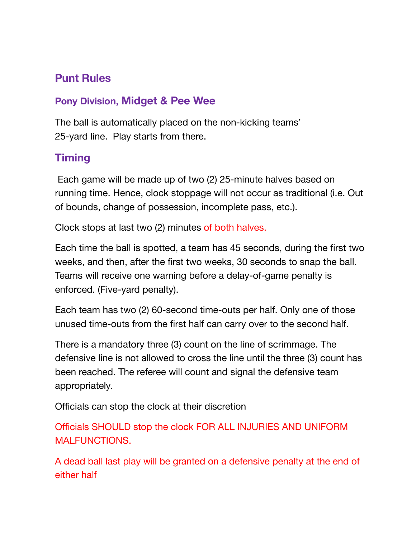## **Punt Rules**

#### **Pony Division, Midget & Pee Wee**

The ball is automatically placed on the non-kicking teams' 25-yard line. Play starts from there.

# **Timing**

Each game will be made up of two (2) 25-minute halves based on running time. Hence, clock stoppage will not occur as traditional (i.e. Out of bounds, change of possession, incomplete pass, etc.).

Clock stops at last two (2) minutes of both halves.

Each time the ball is spotted, a team has 45 seconds, during the first two weeks, and then, after the first two weeks, 30 seconds to snap the ball. Teams will receive one warning before a delay-of-game penalty is enforced. (Five-yard penalty).

Each team has two (2) 60-second time-outs per half. Only one of those unused time-outs from the first half can carry over to the second half.

There is a mandatory three (3) count on the line of scrimmage. The defensive line is not allowed to cross the line until the three (3) count has been reached. The referee will count and signal the defensive team appropriately.

Officials can stop the clock at their discretion

Officials SHOULD stop the clock FOR ALL INJURIES AND UNIFORM MALFUNCTIONS.

A dead ball last play will be granted on a defensive penalty at the end of either half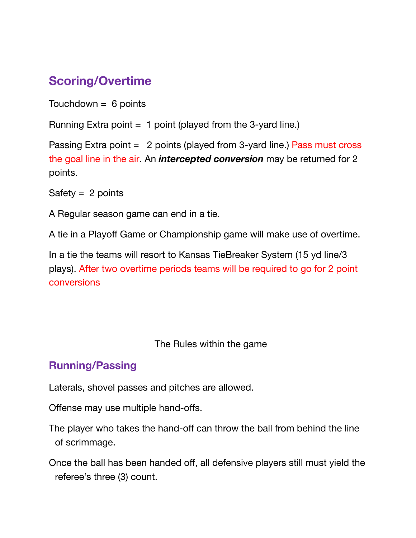# **Scoring/Overtime**

Touchdown  $= 6$  points

Running Extra point  $= 1$  point (played from the 3-yard line.)

Passing Extra point = 2 points (played from 3-yard line.) Pass must cross the goal line in the air. An *intercepted conversion* may be returned for 2 points.

Safety  $= 2$  points

A Regular season game can end in a tie.

A tie in a Playoff Game or Championship game will make use of overtime.

In a tie the teams will resort to Kansas TieBreaker System (15 yd line/3 plays). After two overtime periods teams will be required to go for 2 point conversions

The Rules within the game

#### **Running/Passing**

Laterals, shovel passes and pitches are allowed.

Offense may use multiple hand-offs.

The player who takes the hand-off can throw the ball from behind the line of scrimmage.

Once the ball has been handed off, all defensive players still must yield the referee's three (3) count.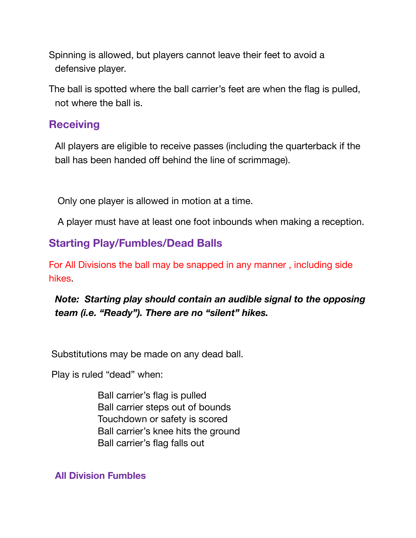Spinning is allowed, but players cannot leave their feet to avoid a defensive player.

The ball is spotted where the ball carrier's feet are when the flag is pulled, not where the ball is.

#### **Receiving**

All players are eligible to receive passes (including the quarterback if the ball has been handed off behind the line of scrimmage).

Only one player is allowed in motion at a time.

A player must have at least one foot inbounds when making a reception.

#### **Starting Play/Fumbles/Dead Balls**

For All Divisions the ball may be snapped in any manner , including side hikes.

#### *Note: Starting play should contain an audible signal to the opposing team (i.e. "Ready"). There are no "silent" hikes.*

Substitutions may be made on any dead ball.

Play is ruled "dead" when:

Ball carrier's flag is pulled Ball carrier steps out of bounds Touchdown or safety is scored Ball carrier's knee hits the ground Ball carrier's flag falls out

**All Division Fumbles**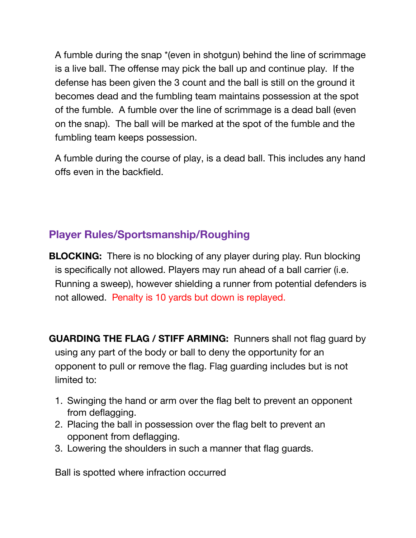A fumble during the snap \*(even in shotgun) behind the line of scrimmage is a live ball. The offense may pick the ball up and continue play. If the defense has been given the 3 count and the ball is still on the ground it becomes dead and the fumbling team maintains possession at the spot of the fumble. A fumble over the line of scrimmage is a dead ball (even on the snap). The ball will be marked at the spot of the fumble and the fumbling team keeps possession.

A fumble during the course of play, is a dead ball. This includes any hand offs even in the backfield.

# **Player Rules/Sportsmanship/Roughing**

**BLOCKING:** There is no blocking of any player during play. Run blocking is specifically not allowed. Players may run ahead of a ball carrier (i.e. Running a sweep), however shielding a runner from potential defenders is not allowed. Penalty is 10 yards but down is replayed.

**GUARDING THE FLAG / STIFF ARMING:** Runners shall not flag guard by using any part of the body or ball to deny the opportunity for an opponent to pull or remove the flag. Flag guarding includes but is not limited to:

- 1. Swinging the hand or arm over the flag belt to prevent an opponent from deflagging.
- 2. Placing the ball in possession over the flag belt to prevent an opponent from deflagging.
- 3. Lowering the shoulders in such a manner that flag guards.

Ball is spotted where infraction occurred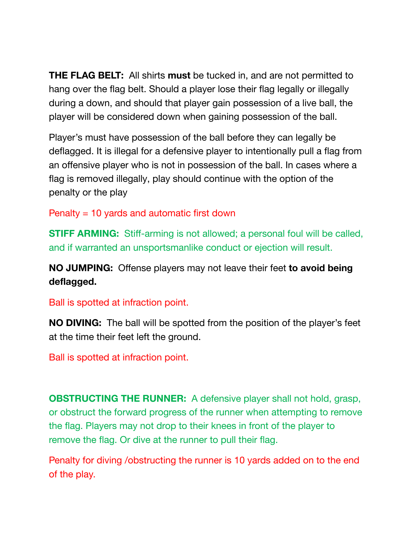**THE FLAG BELT:** All shirts **must** be tucked in, and are not permitted to hang over the flag belt. Should a player lose their flag legally or illegally during a down, and should that player gain possession of a live ball, the player will be considered down when gaining possession of the ball.

Player's must have possession of the ball before they can legally be deflagged. It is illegal for a defensive player to intentionally pull a flag from an offensive player who is not in possession of the ball. In cases where a flag is removed illegally, play should continue with the option of the penalty or the play

Penalty = 10 yards and automatic first down

**STIFF ARMING:** Stiff-arming is not allowed; a personal foul will be called, and if warranted an unsportsmanlike conduct or ejection will result.

**NO JUMPING:** Offense players may not leave their feet **to avoid being deflagged.**

Ball is spotted at infraction point.

**NO DIVING:** The ball will be spotted from the position of the player's feet at the time their feet left the ground.

Ball is spotted at infraction point.

**OBSTRUCTING THE RUNNER:** A defensive player shall not hold, grasp, or obstruct the forward progress of the runner when attempting to remove the flag. Players may not drop to their knees in front of the player to remove the flag. Or dive at the runner to pull their flag.

Penalty for diving /obstructing the runner is 10 yards added on to the end of the play.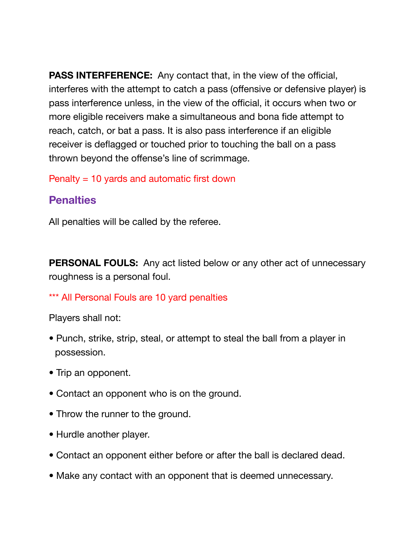**PASS INTERFERENCE:** Any contact that, in the view of the official, interferes with the attempt to catch a pass (offensive or defensive player) is pass interference unless, in the view of the official, it occurs when two or more eligible receivers make a simultaneous and bona fide attempt to reach, catch, or bat a pass. It is also pass interference if an eligible receiver is deflagged or touched prior to touching the ball on a pass thrown beyond the offense's line of scrimmage.

Penalty = 10 yards and automatic first down

#### **Penalties**

All penalties will be called by the referee.

**PERSONAL FOULS:** Any act listed below or any other act of unnecessary roughness is a personal foul.

\*\*\* All Personal Fouls are 10 yard penalties

Players shall not:

- Punch, strike, strip, steal, or attempt to steal the ball from a player in possession.
- Trip an opponent.
- Contact an opponent who is on the ground.
- Throw the runner to the ground.
- Hurdle another player.
- Contact an opponent either before or after the ball is declared dead.
- Make any contact with an opponent that is deemed unnecessary.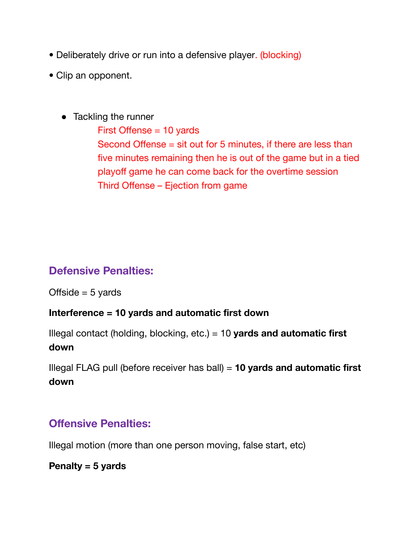- Deliberately drive or run into a defensive player. (blocking)
- Clip an opponent.
	- Tackling the runner

First Offense = 10 yards Second Offense = sit out for 5 minutes, if there are less than five minutes remaining then he is out of the game but in a tied playoff game he can come back for the overtime session Third Offense – Ejection from game

## **Defensive Penalties:**

Offside  $= 5$  yards

#### **Interference = 10 yards and automatic first down**

Illegal contact (holding, blocking, etc.) = 10 **yards and automatic first down**

Illegal FLAG pull (before receiver has ball) = **10 yards and automatic first down**

## **Offensive Penalties:**

Illegal motion (more than one person moving, false start, etc)

#### **Penalty = 5 yards**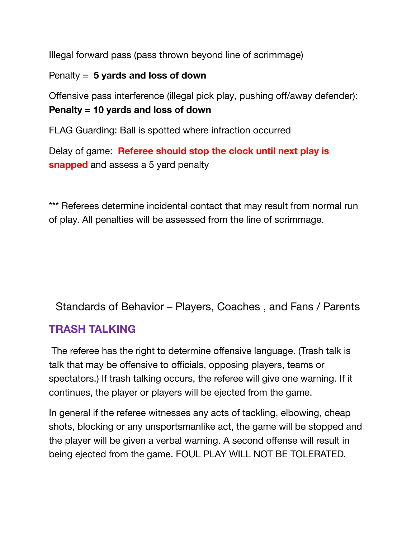Illegal forward pass (pass thrown beyond line of scrimmage)

#### Penalty = **5 yards and loss of down**

Offensive pass interference (illegal pick play, pushing off/away defender): **Penalty = 10 yards and loss of down**

FLAG Guarding: Ball is spotted where infraction occurred

Delay of game: **Referee should stop the clock until next play is snapped** and assess a 5 yard penalty

\*\*\* Referees determine incidental contact that may result from normal run of play. All penalties will be assessed from the line of scrimmage.

Standards of Behavior – Players, Coaches , and Fans / Parents

## **TRASH TALKING**

The referee has the right to determine offensive language. (Trash talk is talk that may be offensive to officials, opposing players, teams or spectators.) If trash talking occurs, the referee will give one warning. If it continues, the player or players will be ejected from the game.

In general if the referee witnesses any acts of tackling, elbowing, cheap shots, blocking or any unsportsmanlike act, the game will be stopped and the player will be given a verbal warning. A second offense will result in being ejected from the game. FOUL PLAY WILL NOT BE TOLERATED.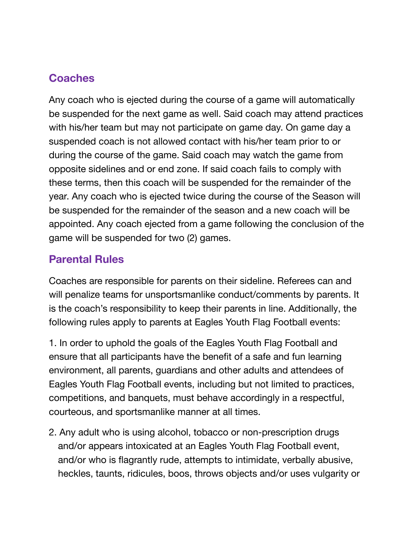## **Coaches**

Any coach who is ejected during the course of a game will automatically be suspended for the next game as well. Said coach may attend practices with his/her team but may not participate on game day. On game day a suspended coach is not allowed contact with his/her team prior to or during the course of the game. Said coach may watch the game from opposite sidelines and or end zone. If said coach fails to comply with these terms, then this coach will be suspended for the remainder of the year. Any coach who is ejected twice during the course of the Season will be suspended for the remainder of the season and a new coach will be appointed. Any coach ejected from a game following the conclusion of the game will be suspended for two (2) games.

#### **Parental Rules**

Coaches are responsible for parents on their sideline. Referees can and will penalize teams for unsportsmanlike conduct/comments by parents. It is the coach's responsibility to keep their parents in line. Additionally, the following rules apply to parents at Eagles Youth Flag Football events:

1. In order to uphold the goals of the Eagles Youth Flag Football and ensure that all participants have the benefit of a safe and fun learning environment, all parents, guardians and other adults and attendees of Eagles Youth Flag Football events, including but not limited to practices, competitions, and banquets, must behave accordingly in a respectful, courteous, and sportsmanlike manner at all times.

2. Any adult who is using alcohol, tobacco or non-prescription drugs and/or appears intoxicated at an Eagles Youth Flag Football event, and/or who is flagrantly rude, attempts to intimidate, verbally abusive, heckles, taunts, ridicules, boos, throws objects and/or uses vulgarity or